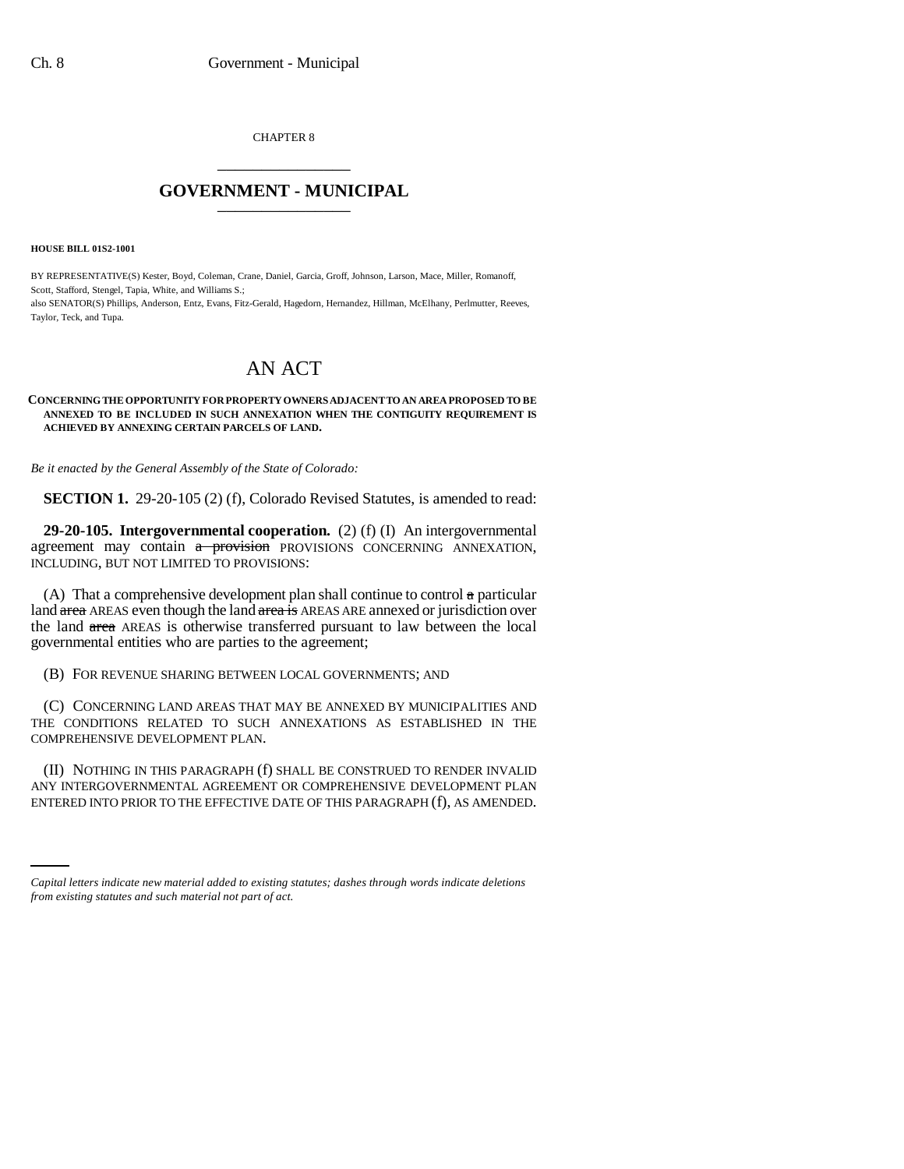CHAPTER 8 \_\_\_\_\_\_\_\_\_\_\_\_\_\_\_

## **GOVERNMENT - MUNICIPAL** \_\_\_\_\_\_\_\_\_\_\_\_\_\_\_

**HOUSE BILL 01S2-1001**

BY REPRESENTATIVE(S) Kester, Boyd, Coleman, Crane, Daniel, Garcia, Groff, Johnson, Larson, Mace, Miller, Romanoff, Scott, Stafford, Stengel, Tapia, White, and Williams S.; also SENATOR(S) Phillips, Anderson, Entz, Evans, Fitz-Gerald, Hagedorn, Hernandez, Hillman, McElhany, Perlmutter, Reeves, Taylor, Teck, and Tupa.

## AN ACT

## **CONCERNING THE OPPORTUNITY FOR PROPERTY OWNERS ADJACENT TO AN AREA PROPOSED TO BE ANNEXED TO BE INCLUDED IN SUCH ANNEXATION WHEN THE CONTIGUITY REQUIREMENT IS ACHIEVED BY ANNEXING CERTAIN PARCELS OF LAND.**

*Be it enacted by the General Assembly of the State of Colorado:*

**SECTION 1.** 29-20-105 (2) (f), Colorado Revised Statutes, is amended to read:

**29-20-105. Intergovernmental cooperation.** (2) (f) (I) An intergovernmental agreement may contain  $a$  provision PROVISIONS CONCERNING ANNEXATION, INCLUDING, BUT NOT LIMITED TO PROVISIONS:

(A) That a comprehensive development plan shall continue to control a particular land area AREAS even though the land area is AREAS ARE annexed or jurisdiction over the land area AREAS is otherwise transferred pursuant to law between the local governmental entities who are parties to the agreement;

(B) FOR REVENUE SHARING BETWEEN LOCAL GOVERNMENTS; AND

(C) CONCERNING LAND AREAS THAT MAY BE ANNEXED BY MUNICIPALITIES AND THE CONDITIONS RELATED TO SUCH ANNEXATIONS AS ESTABLISHED IN THE COMPREHENSIVE DEVELOPMENT PLAN.

ANY INTERGOVERNMENTAL AGREEMENT OR COMPREHENSIVE DEVELOPMENT PLAN (II) NOTHING IN THIS PARAGRAPH (f) SHALL BE CONSTRUED TO RENDER INVALID ENTERED INTO PRIOR TO THE EFFECTIVE DATE OF THIS PARAGRAPH (f), AS AMENDED.

*Capital letters indicate new material added to existing statutes; dashes through words indicate deletions from existing statutes and such material not part of act.*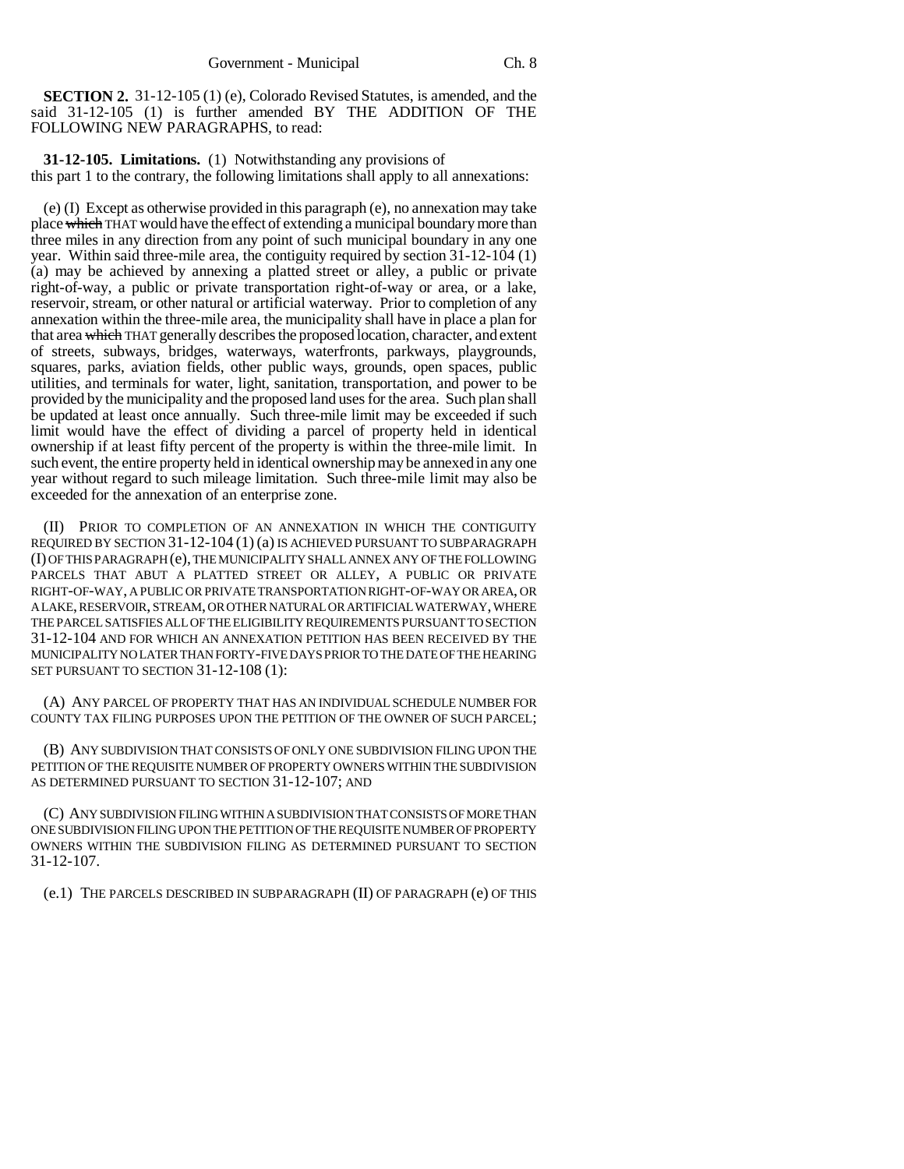**SECTION 2.** 31-12-105 (1) (e), Colorado Revised Statutes, is amended, and the said 31-12-105 (1) is further amended BY THE ADDITION OF THE FOLLOWING NEW PARAGRAPHS, to read:

**31-12-105. Limitations.** (1) Notwithstanding any provisions of this part 1 to the contrary, the following limitations shall apply to all annexations:

(e) (I) Except as otherwise provided in this paragraph (e), no annexation may take place which THAT would have the effect of extending a municipal boundary more than three miles in any direction from any point of such municipal boundary in any one year. Within said three-mile area, the contiguity required by section 31-12-104 (1) (a) may be achieved by annexing a platted street or alley, a public or private right-of-way, a public or private transportation right-of-way or area, or a lake, reservoir, stream, or other natural or artificial waterway. Prior to completion of any annexation within the three-mile area, the municipality shall have in place a plan for that area which THAT generally describes the proposed location, character, and extent of streets, subways, bridges, waterways, waterfronts, parkways, playgrounds, squares, parks, aviation fields, other public ways, grounds, open spaces, public utilities, and terminals for water, light, sanitation, transportation, and power to be provided by the municipality and the proposed land uses for the area. Such plan shall be updated at least once annually. Such three-mile limit may be exceeded if such limit would have the effect of dividing a parcel of property held in identical ownership if at least fifty percent of the property is within the three-mile limit. In such event, the entire property held in identical ownership may be annexed in any one year without regard to such mileage limitation. Such three-mile limit may also be exceeded for the annexation of an enterprise zone.

(II) PRIOR TO COMPLETION OF AN ANNEXATION IN WHICH THE CONTIGUITY REQUIRED BY SECTION 31-12-104 (1) (a) IS ACHIEVED PURSUANT TO SUBPARAGRAPH (I) OF THIS PARAGRAPH (e), THE MUNICIPALITY SHALL ANNEX ANY OF THE FOLLOWING PARCELS THAT ABUT A PLATTED STREET OR ALLEY, A PUBLIC OR PRIVATE RIGHT-OF-WAY, A PUBLIC OR PRIVATE TRANSPORTATION RIGHT-OF-WAY OR AREA, OR A LAKE, RESERVOIR, STREAM, OR OTHER NATURAL OR ARTIFICIAL WATERWAY, WHERE THE PARCEL SATISFIES ALL OF THE ELIGIBILITY REQUIREMENTS PURSUANT TO SECTION 31-12-104 AND FOR WHICH AN ANNEXATION PETITION HAS BEEN RECEIVED BY THE MUNICIPALITY NO LATER THAN FORTY-FIVE DAYS PRIOR TO THE DATE OF THE HEARING SET PURSUANT TO SECTION 31-12-108 (1):

(A) ANY PARCEL OF PROPERTY THAT HAS AN INDIVIDUAL SCHEDULE NUMBER FOR COUNTY TAX FILING PURPOSES UPON THE PETITION OF THE OWNER OF SUCH PARCEL;

(B) ANY SUBDIVISION THAT CONSISTS OF ONLY ONE SUBDIVISION FILING UPON THE PETITION OF THE REQUISITE NUMBER OF PROPERTY OWNERS WITHIN THE SUBDIVISION AS DETERMINED PURSUANT TO SECTION 31-12-107; AND

(C) ANY SUBDIVISION FILING WITHIN A SUBDIVISION THAT CONSISTS OF MORE THAN ONE SUBDIVISION FILING UPON THE PETITION OF THE REQUISITE NUMBER OF PROPERTY OWNERS WITHIN THE SUBDIVISION FILING AS DETERMINED PURSUANT TO SECTION 31-12-107.

(e.1) THE PARCELS DESCRIBED IN SUBPARAGRAPH (II) OF PARAGRAPH (e) OF THIS